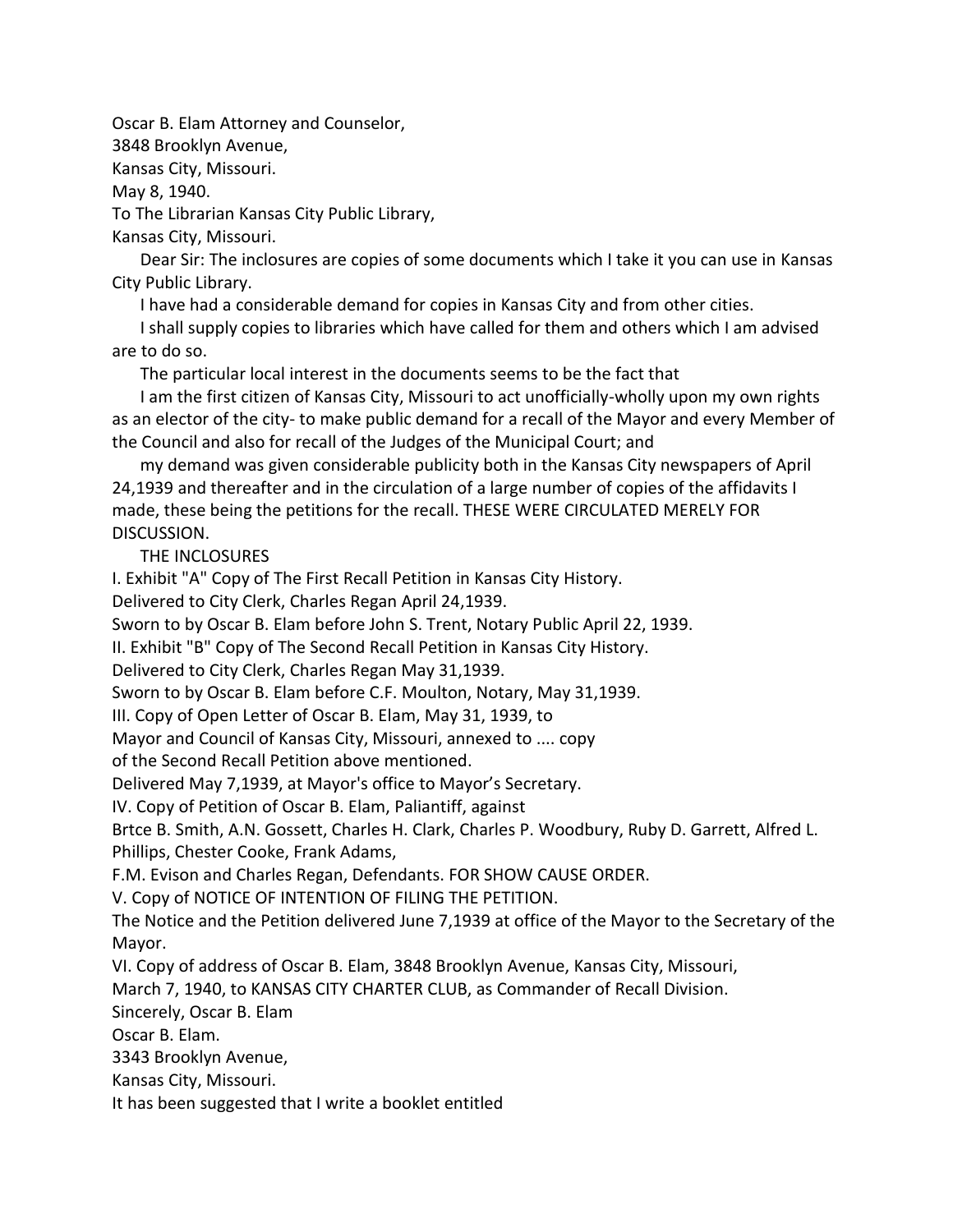Oscar B. Elam Attorney and Counselor, 3848 Brooklyn Avenue,

Kansas City, Missouri.

May 8, 1940.

To The Librarian Kansas City Public Library,

Kansas City, Missouri.

Dear Sir: The inclosures are copies of some documents which I take it you can use in Kansas City Public Library.

I have had a considerable demand for copies in Kansas City and from other cities.

I shall supply copies to libraries which have called for them and others which I am advised are to do so.

The particular local interest in the documents seems to be the fact that

I am the first citizen of Kansas City, Missouri to act unofficially-wholly upon my own rights as an elector of the city- to make public demand for a recall of the Mayor and every Member of the Council and also for recall of the Judges of the Municipal Court; and

my demand was given considerable publicity both in the Kansas City newspapers of April 24,1939 and thereafter and in the circulation of a large number of copies of the affidavits I made, these being the petitions for the recall. THESE WERE CIRCULATED MERELY FOR DISCUSSION.

THE INCLOSURES

I. Exhibit "A" Copy of The First Recall Petition in Kansas City History.

Delivered to City Clerk, Charles Regan April 24,1939.

Sworn to by Oscar B. Elam before John S. Trent, Notary Public April 22, 1939.

II. Exhibit "B" Copy of The Second Recall Petition in Kansas City History.

Delivered to City Clerk, Charles Regan May 31,1939.

Sworn to by Oscar B. Elam before C.F. Moulton, Notary, May 31,1939.

III. Copy of Open Letter of Oscar B. Elam, May 31, 1939, to

Mayor and Council of Kansas City, Missouri, annexed to .... copy

of the Second Recall Petition above mentioned.

Delivered May 7,1939, at Mayor's office to Mayor's Secretary.

IV. Copy of Petition of Oscar B. Elam, Paliantiff, against

Brtce B. Smith, A.N. Gossett, Charles H. Clark, Charles P. Woodbury, Ruby D. Garrett, Alfred L. Phillips, Chester Cooke, Frank Adams,

F.M. Evison and Charles Regan, Defendants. FOR SHOW CAUSE ORDER.

V. Copy of NOTICE OF INTENTION OF FILING THE PETITION.

The Notice and the Petition delivered June 7,1939 at office of the Mayor to the Secretary of the Mayor.

VI. Copy of address of Oscar B. Elam, 3848 Brooklyn Avenue, Kansas City, Missouri,

March 7, 1940, to KANSAS CITY CHARTER CLUB, as Commander of Recall Division.

Sincerely, Oscar B. Elam

Oscar B. Elam.

3343 Brooklyn Avenue,

Kansas City, Missouri.

It has been suggested that I write a booklet entitled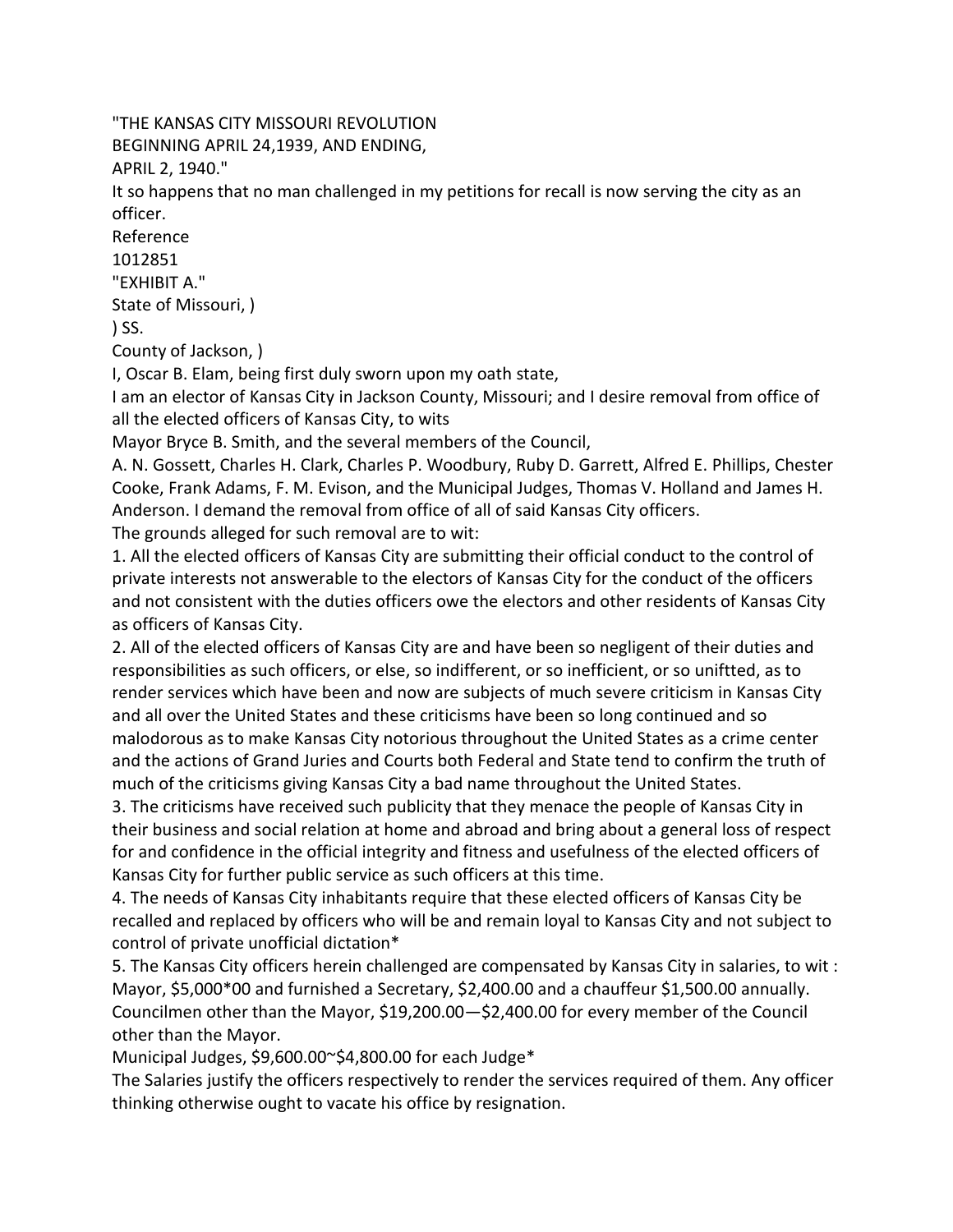"THE KANSAS CITY MISSOURI REVOLUTION

BEGINNING APRIL 24,1939, AND ENDING,

APRIL 2, 1940."

It so happens that no man challenged in my petitions for recall is now serving the city as an officer.

Reference

1012851

"EXHIBIT A."

State of Missouri, )

 $\overline{\phantom{a}}$  SS.

County of Jackson, )

I, Oscar B. Elam, being first duly sworn upon my oath state,

I am an elector of Kansas City in Jackson County, Missouri; and I desire removal from office of all the elected officers of Kansas City, to wits

Mayor Bryce B. Smith, and the several members of the Council,

A. N. Gossett, Charles H. Clark, Charles P. Woodbury, Ruby D. Garrett, Alfred E. Phillips, Chester Cooke, Frank Adams, F. M. Evison, and the Municipal Judges, Thomas V. Holland and James H. Anderson. I demand the removal from office of all of said Kansas City officers.

The grounds alleged for such removal are to wit:

1. All the elected officers of Kansas City are submitting their official conduct to the control of private interests not answerable to the electors of Kansas City for the conduct of the officers and not consistent with the duties officers owe the electors and other residents of Kansas City as officers of Kansas City.

2. All of the elected officers of Kansas City are and have been so negligent of their duties and responsibilities as such officers, or else, so indifferent, or so inefficient, or so uniftted, as to render services which have been and now are subjects of much severe criticism in Kansas City and all over the United States and these criticisms have been so long continued and so malodorous as to make Kansas City notorious throughout the United States as a crime center and the actions of Grand Juries and Courts both Federal and State tend to confirm the truth of much of the criticisms giving Kansas City a bad name throughout the United States.

3. The criticisms have received such publicity that they menace the people of Kansas City in their business and social relation at home and abroad and bring about a general loss of respect for and confidence in the official integrity and fitness and usefulness of the elected officers of Kansas City for further public service as such officers at this time.

4. The needs of Kansas City inhabitants require that these elected officers of Kansas City be recalled and replaced by officers who will be and remain loyal to Kansas City and not subject to control of private unofficial dictation\*

5. The Kansas City officers herein challenged are compensated by Kansas City in salaries, to wit : Mayor, \$5,000\*00 and furnished a Secretary, \$2,400.00 and a chauffeur \$1,500.00 annually. Councilmen other than the Mayor, \$19,200.00—\$2,400.00 for every member of the Council other than the Mayor.

Municipal Judges, \$9,600.00~\$4,800.00 for each Judge\*

The Salaries justify the officers respectively to render the services required of them. Any officer thinking otherwise ought to vacate his office by resignation.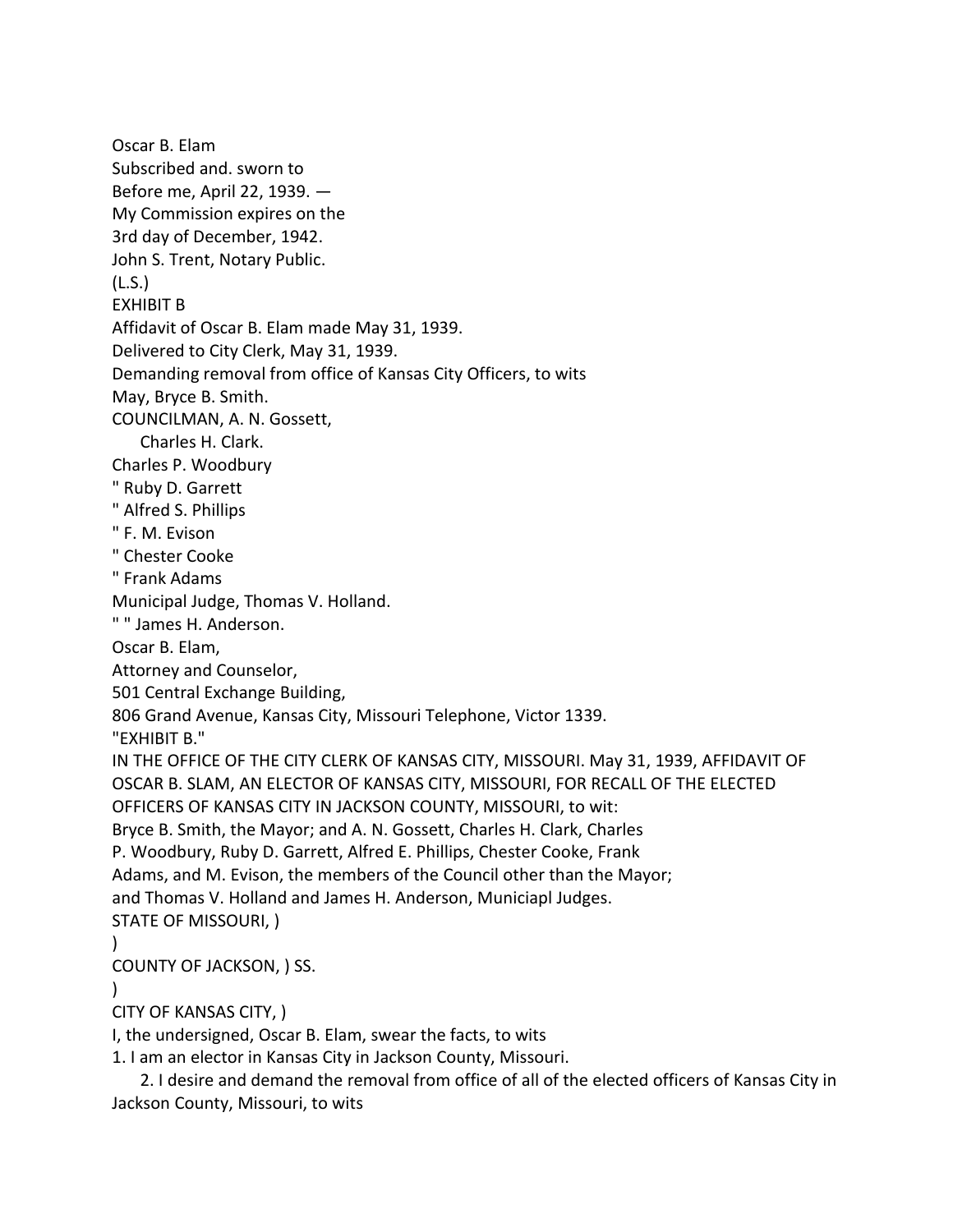Oscar B. Elam Subscribed and. sworn to Before me, April 22, 1939. — My Commission expires on the 3rd day of December, 1942. John S. Trent, Notary Public. (L.S.) EXHIBIT B Affidavit of Oscar B. Elam made May 31, 1939. Delivered to City Clerk, May 31, 1939. Demanding removal from office of Kansas City Officers, to wits May, Bryce B. Smith. COUNCILMAN, A. N. Gossett, Charles H. Clark. Charles P. Woodbury " Ruby D. Garrett " Alfred S. Phillips " F. M. Evison " Chester Cooke " Frank Adams Municipal Judge, Thomas V. Holland. " " James H. Anderson. Oscar B. Elam, Attorney and Counselor, 501 Central Exchange Building, 806 Grand Avenue, Kansas City, Missouri Telephone, Victor 1339. "EXHIBIT B." IN THE OFFICE OF THE CITY CLERK OF KANSAS CITY, MISSOURI. May 31, 1939, AFFIDAVIT OF OSCAR B. SLAM, AN ELECTOR OF KANSAS CITY, MISSOURI, FOR RECALL OF THE ELECTED OFFICERS OF KANSAS CITY IN JACKSON COUNTY, MISSOURI, to wit: Bryce B. Smith, the Mayor; and A. N. Gossett, Charles H. Clark, Charles P. Woodbury, Ruby D. Garrett, Alfred E. Phillips, Chester Cooke, Frank Adams, and M. Evison, the members of the Council other than the Mayor; and Thomas V. Holland and James H. Anderson, Municiapl Judges. STATE OF MISSOURI, ) ) COUNTY OF JACKSON, ) SS.  $\lambda$ CITY OF KANSAS CITY, ) I, the undersigned, Oscar B. Elam, swear the facts, to wits

1. I am an elector in Kansas City in Jackson County, Missouri.

2. I desire and demand the removal from office of all of the elected officers of Kansas City in Jackson County, Missouri, to wits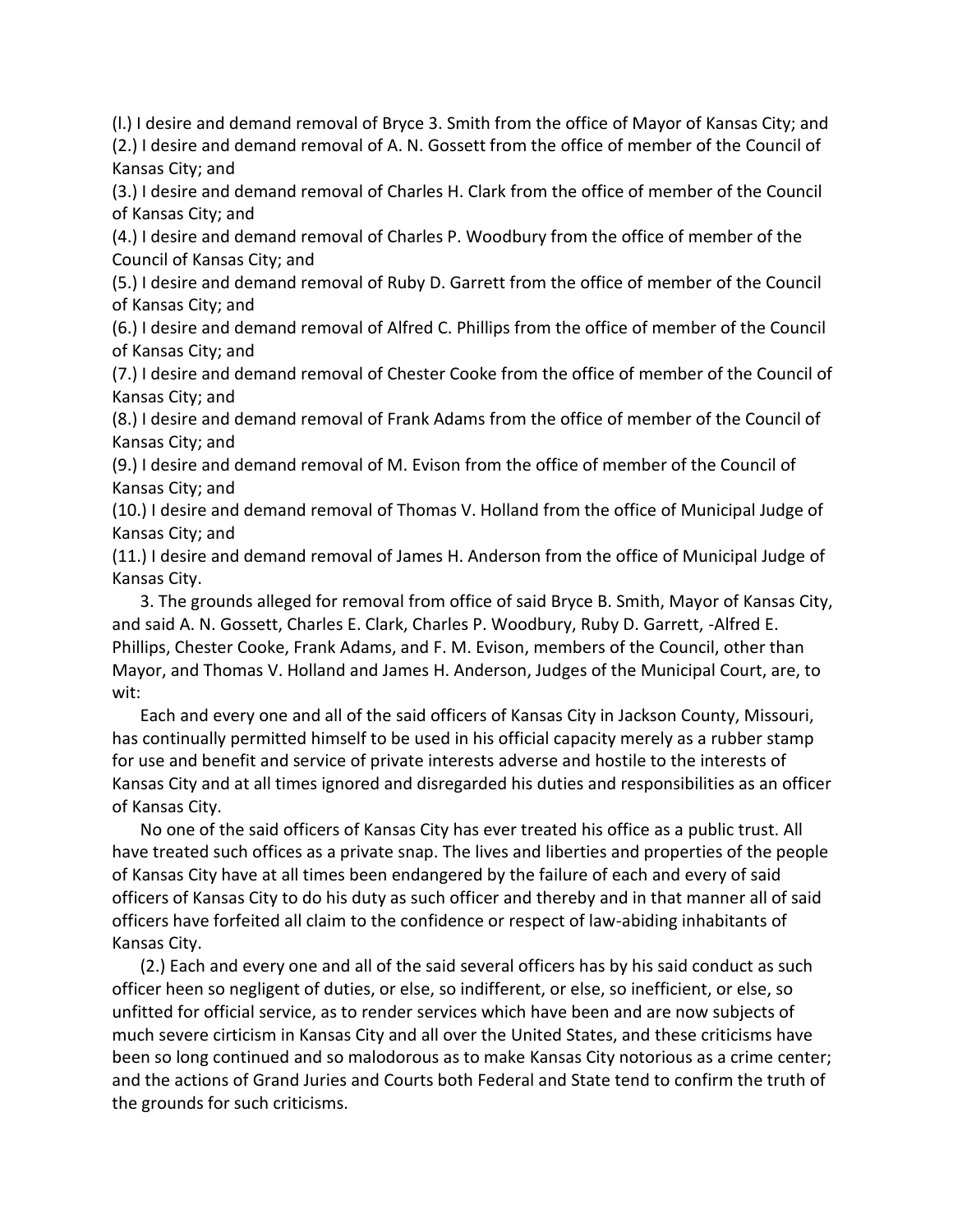(l.) I desire and demand removal of Bryce 3. Smith from the office of Mayor of Kansas City; and (2.) I desire and demand removal of A. N. Gossett from the office of member of the Council of Kansas City; and

(3.) I desire and demand removal of Charles H. Clark from the office of member of the Council of Kansas City; and

(4.) I desire and demand removal of Charles P. Woodbury from the office of member of the Council of Kansas City; and

(5.) I desire and demand removal of Ruby D. Garrett from the office of member of the Council of Kansas City; and

(6.) I desire and demand removal of Alfred C. Phillips from the office of member of the Council of Kansas City; and

(7.) I desire and demand removal of Chester Cooke from the office of member of the Council of Kansas City; and

(8.) I desire and demand removal of Frank Adams from the office of member of the Council of Kansas City; and

(9.) I desire and demand removal of M. Evison from the office of member of the Council of Kansas City; and

(10.) I desire and demand removal of Thomas V. Holland from the office of Municipal Judge of Kansas City; and

(11.) I desire and demand removal of James H. Anderson from the office of Municipal Judge of Kansas City.

3. The grounds alleged for removal from office of said Bryce B. Smith, Mayor of Kansas City, and said A. N. Gossett, Charles E. Clark, Charles P. Woodbury, Ruby D. Garrett, -Alfred E. Phillips, Chester Cooke, Frank Adams, and F. M. Evison, members of the Council, other than Mayor, and Thomas V. Holland and James H. Anderson, Judges of the Municipal Court, are, to wit:

Each and every one and all of the said officers of Kansas City in Jackson County, Missouri, has continually permitted himself to be used in his official capacity merely as a rubber stamp for use and benefit and service of private interests adverse and hostile to the interests of Kansas City and at all times ignored and disregarded his duties and responsibilities as an officer of Kansas City.

No one of the said officers of Kansas City has ever treated his office as a public trust. All have treated such offices as a private snap. The lives and liberties and properties of the people of Kansas City have at all times been endangered by the failure of each and every of said officers of Kansas City to do his duty as such officer and thereby and in that manner all of said officers have forfeited all claim to the confidence or respect of law-abiding inhabitants of Kansas City.

(2.) Each and every one and all of the said several officers has by his said conduct as such officer heen so negligent of duties, or else, so indifferent, or else, so inefficient, or else, so unfitted for official service, as to render services which have been and are now subjects of much severe cirticism in Kansas City and all over the United States, and these criticisms have been so long continued and so malodorous as to make Kansas City notorious as a crime center; and the actions of Grand Juries and Courts both Federal and State tend to confirm the truth of the grounds for such criticisms.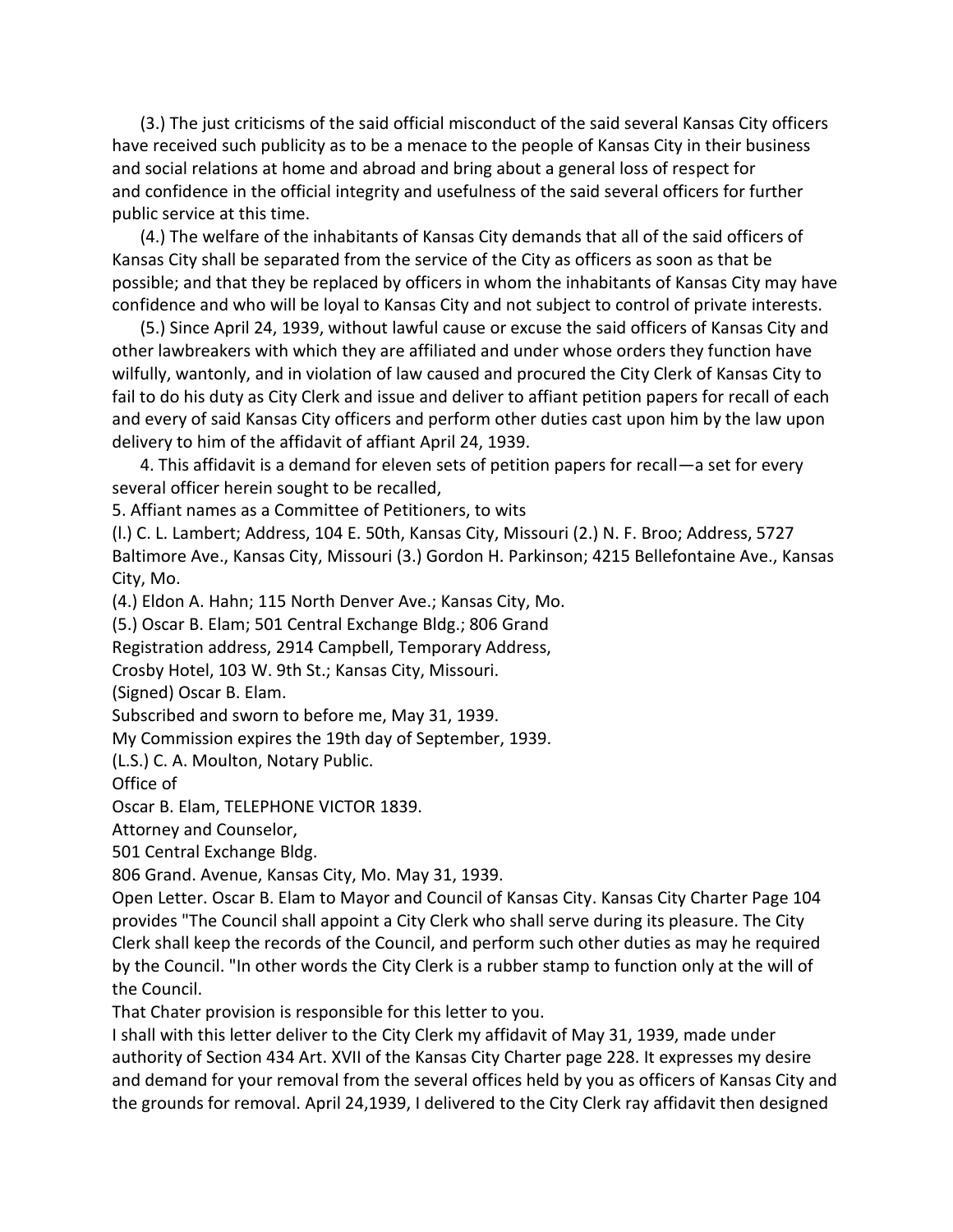(3.) The just criticisms of the said official misconduct of the said several Kansas City officers have received such publicity as to be a menace to the people of Kansas City in their business and social relations at home and abroad and bring about a general loss of respect for and confidence in the official integrity and usefulness of the said several officers for further public service at this time.

(4.) The welfare of the inhabitants of Kansas City demands that all of the said officers of Kansas City shall be separated from the service of the City as officers as soon as that be possible; and that they be replaced by officers in whom the inhabitants of Kansas City may have confidence and who will be loyal to Kansas City and not subject to control of private interests.

(5.) Since April 24, 1939, without lawful cause or excuse the said officers of Kansas City and other lawbreakers with which they are affiliated and under whose orders they function have wilfully, wantonly, and in violation of law caused and procured the City Clerk of Kansas City to fail to do his duty as City Clerk and issue and deliver to affiant petition papers for recall of each and every of said Kansas City officers and perform other duties cast upon him by the law upon delivery to him of the affidavit of affiant April 24, 1939.

4. This affidavit is a demand for eleven sets of petition papers for recall—a set for every several officer herein sought to be recalled,

5. Affiant names as a Committee of Petitioners, to wits

(l.) C. L. Lambert; Address, 104 E. 50th, Kansas City, Missouri (2.) N. F. Broo; Address, 5727 Baltimore Ave., Kansas City, Missouri (3.) Gordon H. Parkinson; 4215 Bellefontaine Ave., Kansas City, Mo.

(4.) Eldon A. Hahn; 115 North Denver Ave.; Kansas City, Mo.

(5.) Oscar B. Elam; 501 Central Exchange Bldg.; 806 Grand

Registration address, 2914 Campbell, Temporary Address,

Crosby Hotel, 103 W. 9th St.; Kansas City, Missouri.

(Signed) Oscar B. Elam.

Subscribed and sworn to before me, May 31, 1939.

My Commission expires the 19th day of September, 1939.

(L.S.) C. A. Moulton, Notary Public.

Office of

Oscar B. Elam, TELEPHONE VICTOR 1839.

Attorney and Counselor,

501 Central Exchange Bldg.

806 Grand. Avenue, Kansas City, Mo. May 31, 1939.

Open Letter. Oscar B. Elam to Mayor and Council of Kansas City. Kansas City Charter Page 104 provides "The Council shall appoint a City Clerk who shall serve during its pleasure. The City Clerk shall keep the records of the Council, and perform such other duties as may he required by the Council. "In other words the City Clerk is a rubber stamp to function only at the will of the Council.

That Chater provision is responsible for this letter to you.

I shall with this letter deliver to the City Clerk my affidavit of May 31, 1939, made under authority of Section 434 Art. XVII of the Kansas City Charter page 228. It expresses my desire and demand for your removal from the several offices held by you as officers of Kansas City and the grounds for removal. April 24,1939, I delivered to the City Clerk ray affidavit then designed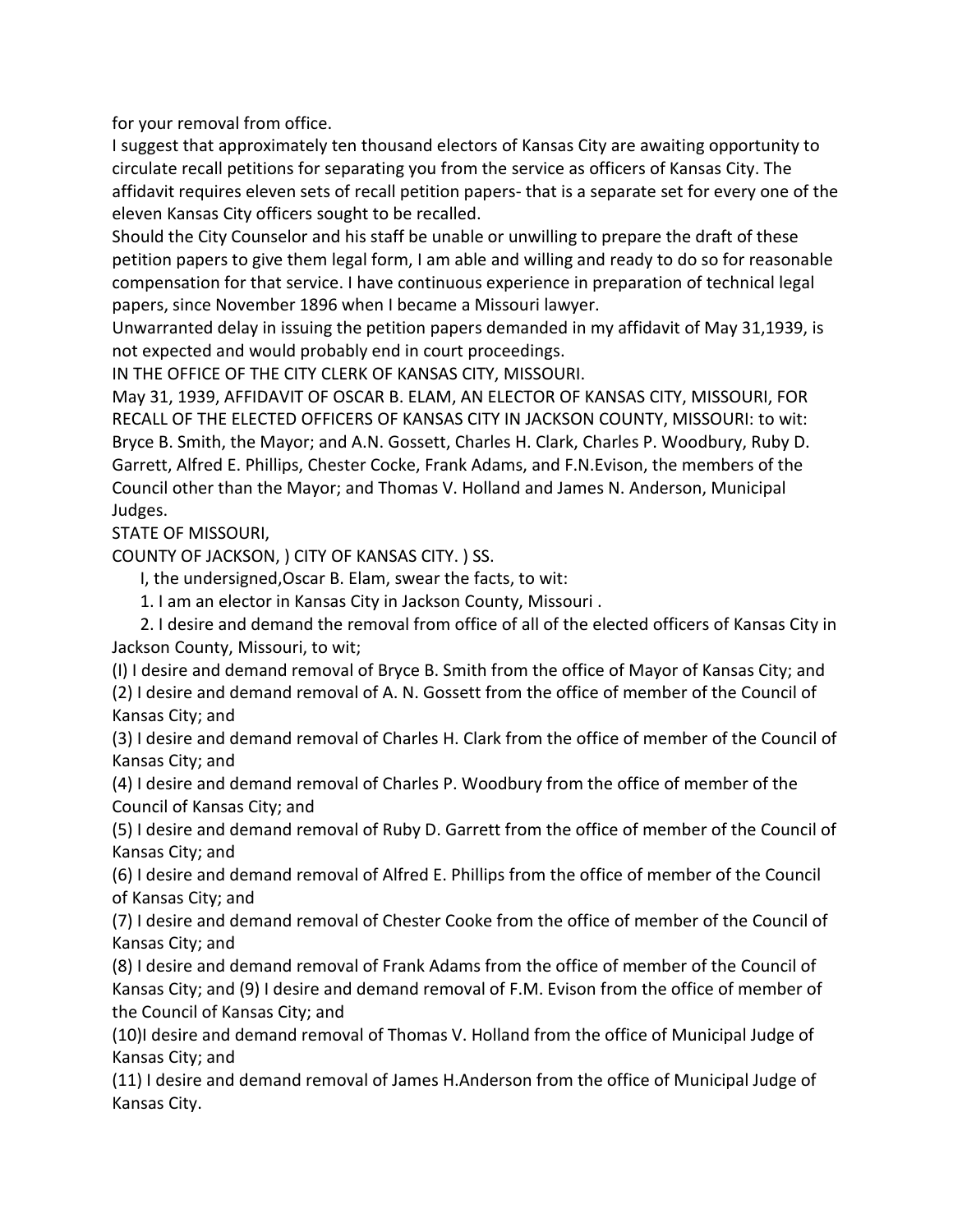for your removal from office.

I suggest that approximately ten thousand electors of Kansas City are awaiting opportunity to circulate recall petitions for separating you from the service as officers of Kansas City. The affidavit requires eleven sets of recall petition papers- that is a separate set for every one of the eleven Kansas City officers sought to be recalled.

Should the City Counselor and his staff be unable or unwilling to prepare the draft of these petition papers to give them legal form, I am able and willing and ready to do so for reasonable compensation for that service. I have continuous experience in preparation of technical legal papers, since November 1896 when I became a Missouri lawyer.

Unwarranted delay in issuing the petition papers demanded in my affidavit of May 31,1939, is not expected and would probably end in court proceedings.

IN THE OFFICE OF THE CITY CLERK OF KANSAS CITY, MISSOURI.

May 31, 1939, AFFIDAVIT OF OSCAR B. ELAM, AN ELECTOR OF KANSAS CITY, MISSOURI, FOR RECALL OF THE ELECTED OFFICERS OF KANSAS CITY IN JACKSON COUNTY, MISSOURI: to wit: Bryce B. Smith, the Mayor; and A.N. Gossett, Charles H. Clark, Charles P. Woodbury, Ruby D. Garrett, Alfred E. Phillips, Chester Cocke, Frank Adams, and F.N.Evison, the members of the Council other than the Mayor; and Thomas V. Holland and James N. Anderson, Municipal Judges.

STATE OF MISSOURI,

COUNTY OF JACKSON, ) CITY OF KANSAS CITY. ) SS.

I, the undersigned,Oscar B. Elam, swear the facts, to wit:

1. I am an elector in Kansas City in Jackson County, Missouri .

2. I desire and demand the removal from office of all of the elected officers of Kansas City in Jackson County, Missouri, to wit;

(I) I desire and demand removal of Bryce B. Smith from the office of Mayor of Kansas City; and (2) I desire and demand removal of A. N. Gossett from the office of member of the Council of Kansas City; and

(3) I desire and demand removal of Charles H. Clark from the office of member of the Council of Kansas City; and

(4) I desire and demand removal of Charles P. Woodbury from the office of member of the Council of Kansas City; and

(5) I desire and demand removal of Ruby D. Garrett from the office of member of the Council of Kansas City; and

(6) I desire and demand removal of Alfred E. Phillips from the office of member of the Council of Kansas City; and

(7) I desire and demand removal of Chester Cooke from the office of member of the Council of Kansas City; and

(8) I desire and demand removal of Frank Adams from the office of member of the Council of Kansas City; and (9) I desire and demand removal of F.M. Evison from the office of member of the Council of Kansas City; and

(10)I desire and demand removal of Thomas V. Holland from the office of Municipal Judge of Kansas City; and

(11) I desire and demand removal of James H.Anderson from the office of Municipal Judge of Kansas City.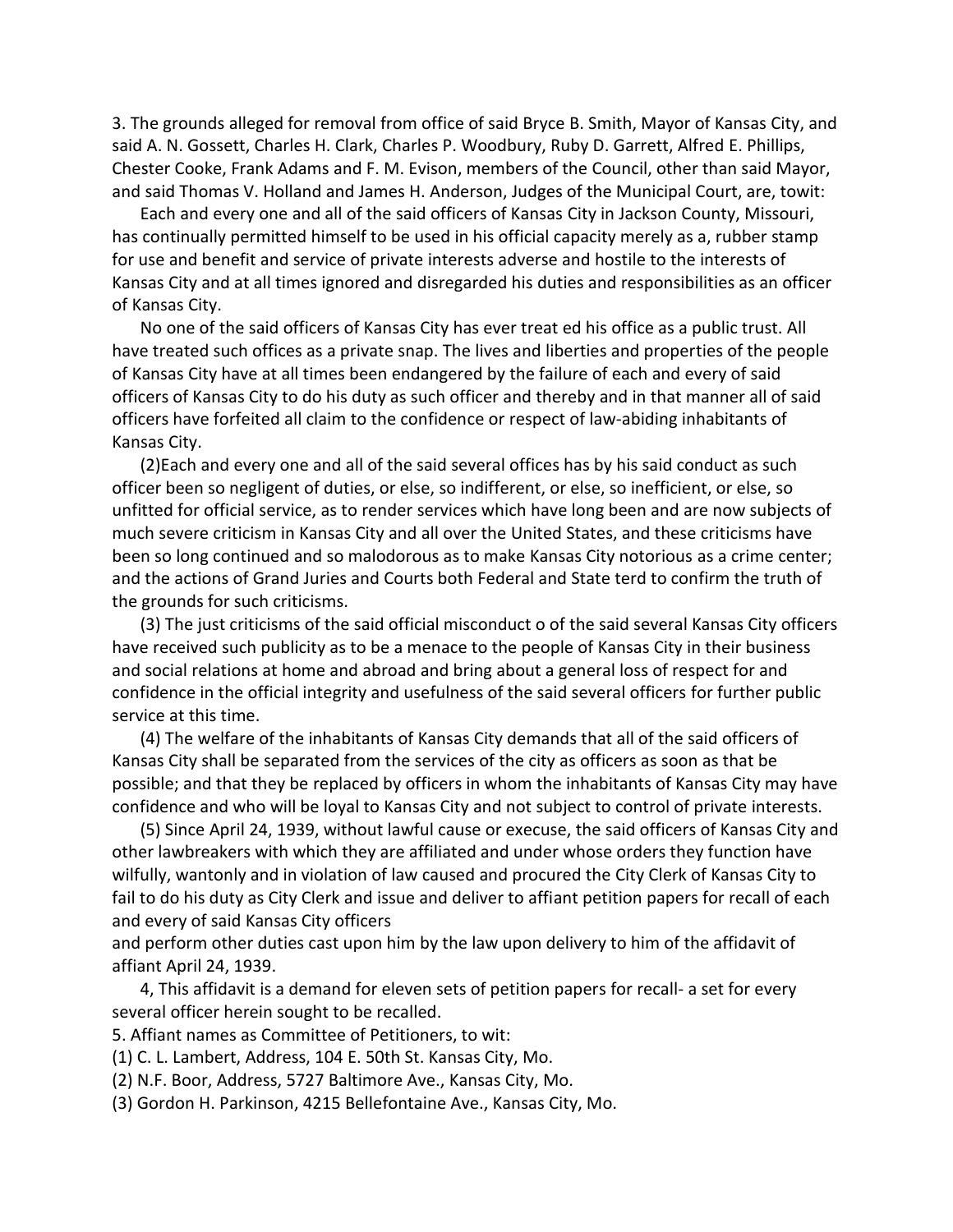3. The grounds alleged for removal from office of said Bryce B. Smith, Mayor of Kansas City, and said A. N. Gossett, Charles H. Clark, Charles P. Woodbury, Ruby D. Garrett, Alfred E. Phillips, Chester Cooke, Frank Adams and F. M. Evison, members of the Council, other than said Mayor, and said Thomas V. Holland and James H. Anderson, Judges of the Municipal Court, are, towit:

Each and every one and all of the said officers of Kansas City in Jackson County, Missouri, has continually permitted himself to be used in his official capacity merely as a, rubber stamp for use and benefit and service of private interests adverse and hostile to the interests of Kansas City and at all times ignored and disregarded his duties and responsibilities as an officer of Kansas City.

No one of the said officers of Kansas City has ever treat ed his office as a public trust. All have treated such offices as a private snap. The lives and liberties and properties of the people of Kansas City have at all times been endangered by the failure of each and every of said officers of Kansas City to do his duty as such officer and thereby and in that manner all of said officers have forfeited all claim to the confidence or respect of law-abiding inhabitants of Kansas City.

(2)Each and every one and all of the said several offices has by his said conduct as such officer been so negligent of duties, or else, so indifferent, or else, so inefficient, or else, so unfitted for official service, as to render services which have long been and are now subjects of much severe criticism in Kansas City and all over the United States, and these criticisms have been so long continued and so malodorous as to make Kansas City notorious as a crime center; and the actions of Grand Juries and Courts both Federal and State terd to confirm the truth of the grounds for such criticisms.

(3) The just criticisms of the said official misconduct o of the said several Kansas City officers have received such publicity as to be a menace to the people of Kansas City in their business and social relations at home and abroad and bring about a general loss of respect for and confidence in the official integrity and usefulness of the said several officers for further public service at this time.

(4) The welfare of the inhabitants of Kansas City demands that all of the said officers of Kansas City shall be separated from the services of the city as officers as soon as that be possible; and that they be replaced by officers in whom the inhabitants of Kansas City may have confidence and who will be loyal to Kansas City and not subject to control of private interests.

(5) Since April 24, 1939, without lawful cause or execuse, the said officers of Kansas City and other lawbreakers with which they are affiliated and under whose orders they function have wilfully, wantonly and in violation of law caused and procured the City Clerk of Kansas City to fail to do his duty as City Clerk and issue and deliver to affiant petition papers for recall of each and every of said Kansas City officers

and perform other duties cast upon him by the law upon delivery to him of the affidavit of affiant April 24, 1939.

4, This affidavit is a demand for eleven sets of petition papers for recall- a set for every several officer herein sought to be recalled.

- 5. Affiant names as Committee of Petitioners, to wit:
- (1) C. L. Lambert, Address, 104 E. 50th St. Kansas City, Mo.
- (2) N.F. Boor, Address, 5727 Baltimore Ave., Kansas City, Mo.
- (3) Gordon H. Parkinson, 4215 Bellefontaine Ave., Kansas City, Mo.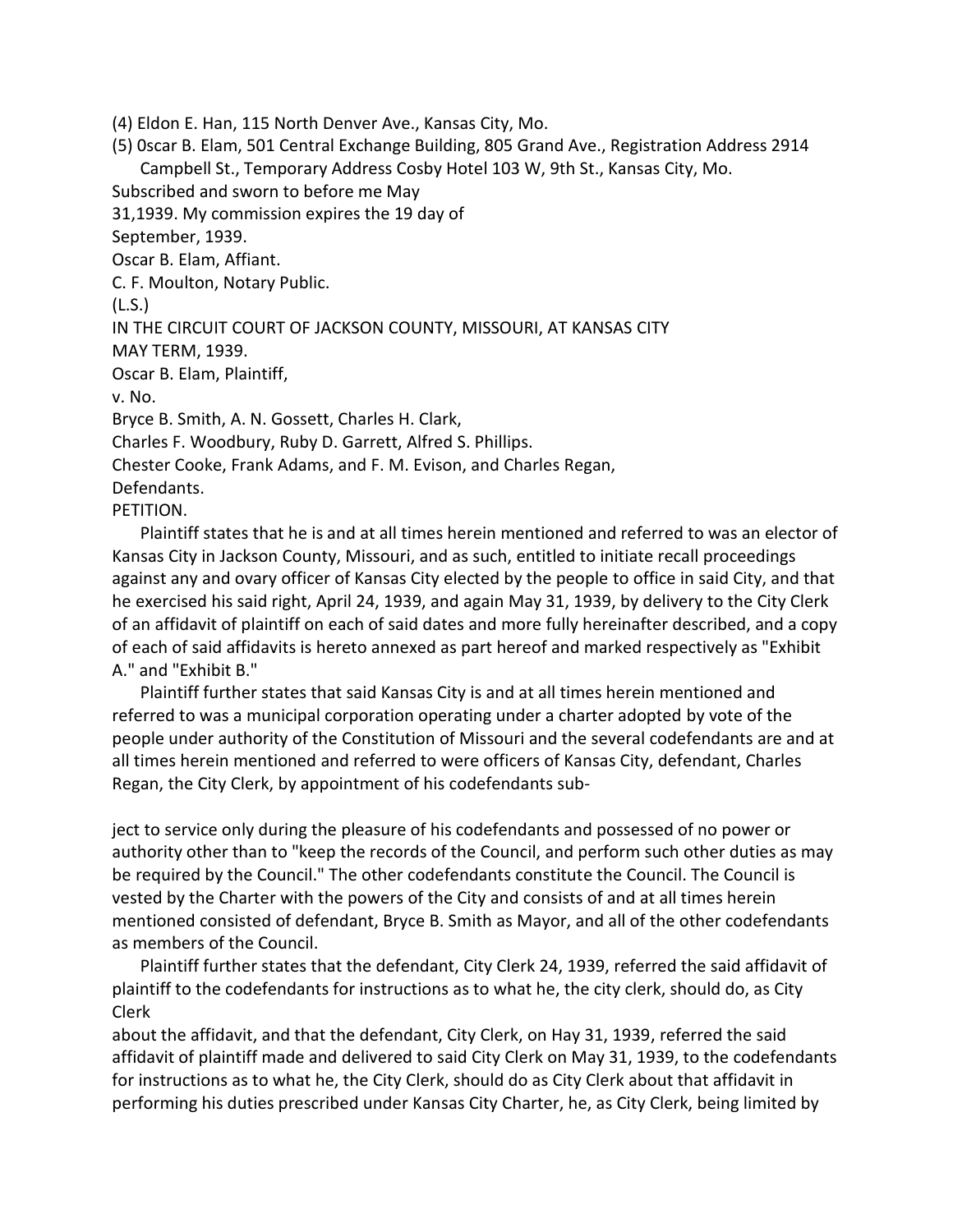(4) Eldon E. Han, 115 North Denver Ave., Kansas City, Mo.

(5) 0scar B. Elam, 501 Central Exchange Building, 805 Grand Ave., Registration Address 2914 Campbell St., Temporary Address Cosby Hotel 103 W, 9th St., Kansas City, Mo. Subscribed and sworn to before me May 31,1939. My commission expires the 19 day of September, 1939. Oscar B. Elam, Affiant. C. F. Moulton, Notary Public. (L.S.) IN THE CIRCUIT COURT OF JACKSON COUNTY, MISSOURI, AT KANSAS CITY MAY TERM, 1939. Oscar B. Elam, Plaintiff,

v. No.

Bryce B. Smith, A. N. Gossett, Charles H. Clark,

Charles F. Woodbury, Ruby D. Garrett, Alfred S. Phillips.

Chester Cooke, Frank Adams, and F. M. Evison, and Charles Regan,

Defendants.

PETITION.

Plaintiff states that he is and at all times herein mentioned and referred to was an elector of Kansas City in Jackson County, Missouri, and as such, entitled to initiate recall proceedings against any and ovary officer of Kansas City elected by the people to office in said City, and that he exercised his said right, April 24, 1939, and again May 31, 1939, by delivery to the City Clerk of an affidavit of plaintiff on each of said dates and more fully hereinafter described, and a copy of each of said affidavits is hereto annexed as part hereof and marked respectively as "Exhibit A." and "Exhibit B."

Plaintiff further states that said Kansas City is and at all times herein mentioned and referred to was a municipal corporation operating under a charter adopted by vote of the people under authority of the Constitution of Missouri and the several codefendants are and at all times herein mentioned and referred to were officers of Kansas City, defendant, Charles Regan, the City Clerk, by appointment of his codefendants sub-

ject to service only during the pleasure of his codefendants and possessed of no power or authority other than to "keep the records of the Council, and perform such other duties as may be required by the Council." The other codefendants constitute the Council. The Council is vested by the Charter with the powers of the City and consists of and at all times herein mentioned consisted of defendant, Bryce B. Smith as Mayor, and all of the other codefendants as members of the Council.

Plaintiff further states that the defendant, City Clerk 24, 1939, referred the said affidavit of plaintiff to the codefendants for instructions as to what he, the city clerk, should do, as City Clerk

about the affidavit, and that the defendant, City Clerk, on Hay 31, 1939, referred the said affidavit of plaintiff made and delivered to said City Clerk on May 31, 1939, to the codefendants for instructions as to what he, the City Clerk, should do as City Clerk about that affidavit in performing his duties prescribed under Kansas City Charter, he, as City Clerk, being limited by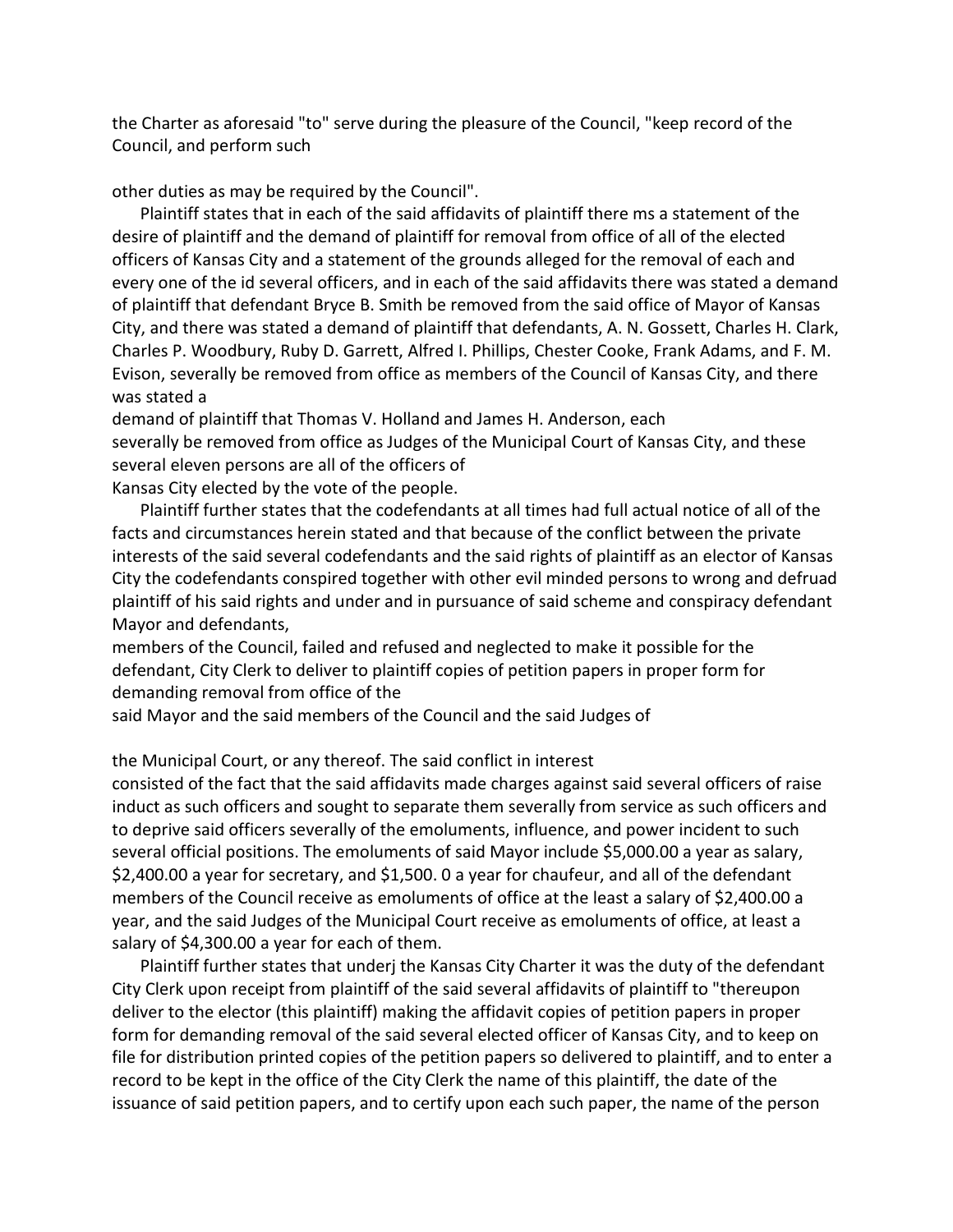the Charter as aforesaid "to" serve during the pleasure of the Council, "keep record of the Council, and perform such

other duties as may be required by the Council".

Plaintiff states that in each of the said affidavits of plaintiff there ms a statement of the desire of plaintiff and the demand of plaintiff for removal from office of all of the elected officers of Kansas City and a statement of the grounds alleged for the removal of each and every one of the id several officers, and in each of the said affidavits there was stated a demand of plaintiff that defendant Bryce B. Smith be removed from the said office of Mayor of Kansas City, and there was stated a demand of plaintiff that defendants, A. N. Gossett, Charles H. Clark, Charles P. Woodbury, Ruby D. Garrett, Alfred I. Phillips, Chester Cooke, Frank Adams, and F. M. Evison, severally be removed from office as members of the Council of Kansas City, and there was stated a

demand of plaintiff that Thomas V. Holland and James H. Anderson, each severally be removed from office as Judges of the Municipal Court of Kansas City, and these several eleven persons are all of the officers of

Kansas City elected by the vote of the people.

Plaintiff further states that the codefendants at all times had full actual notice of all of the facts and circumstances herein stated and that because of the conflict between the private interests of the said several codefendants and the said rights of plaintiff as an elector of Kansas City the codefendants conspired together with other evil minded persons to wrong and defruad plaintiff of his said rights and under and in pursuance of said scheme and conspiracy defendant Mayor and defendants,

members of the Council, failed and refused and neglected to make it possible for the defendant, City Clerk to deliver to plaintiff copies of petition papers in proper form for demanding removal from office of the

said Mayor and the said members of the Council and the said Judges of

the Municipal Court, or any thereof. The said conflict in interest

consisted of the fact that the said affidavits made charges against said several officers of raise induct as such officers and sought to separate them severally from service as such officers and to deprive said officers severally of the emoluments, influence, and power incident to such several official positions. The emoluments of said Mayor include \$5,000.00 a year as salary, \$2,400.00 a year for secretary, and \$1,500. 0 a year for chaufeur, and all of the defendant members of the Council receive as emoluments of office at the least a salary of \$2,400.00 a year, and the said Judges of the Municipal Court receive as emoluments of office, at least a salary of \$4,300.00 a year for each of them.

Plaintiff further states that underj the Kansas City Charter it was the duty of the defendant City Clerk upon receipt from plaintiff of the said several affidavits of plaintiff to "thereupon deliver to the elector (this plaintiff) making the affidavit copies of petition papers in proper form for demanding removal of the said several elected officer of Kansas City, and to keep on file for distribution printed copies of the petition papers so delivered to plaintiff, and to enter a record to be kept in the office of the City Clerk the name of this plaintiff, the date of the issuance of said petition papers, and to certify upon each such paper, the name of the person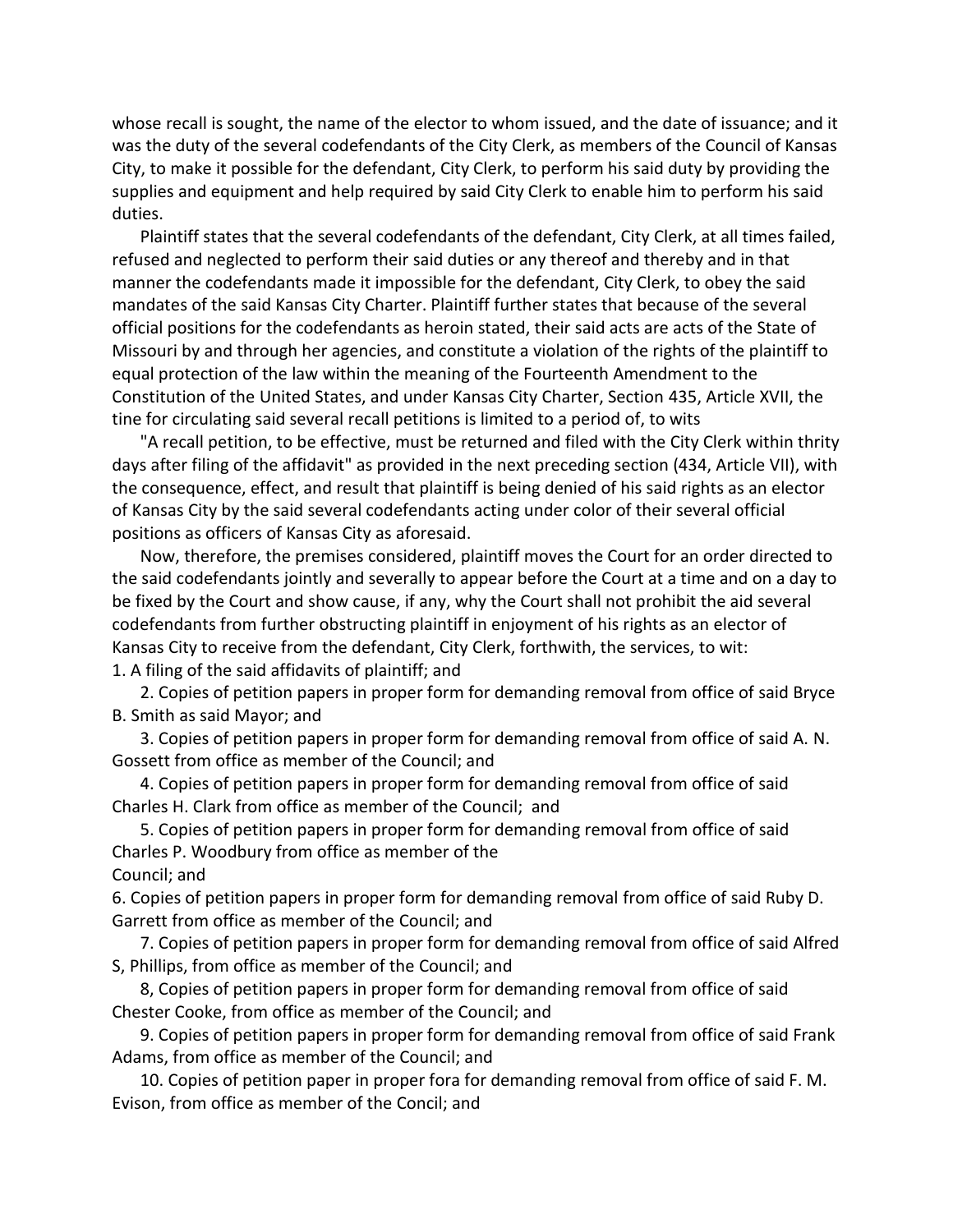whose recall is sought, the name of the elector to whom issued, and the date of issuance; and it was the duty of the several codefendants of the City Clerk, as members of the Council of Kansas City, to make it possible for the defendant, City Clerk, to perform his said duty by providing the supplies and equipment and help required by said City Clerk to enable him to perform his said duties.

Plaintiff states that the several codefendants of the defendant, City Clerk, at all times failed, refused and neglected to perform their said duties or any thereof and thereby and in that manner the codefendants made it impossible for the defendant, City Clerk, to obey the said mandates of the said Kansas City Charter. Plaintiff further states that because of the several official positions for the codefendants as heroin stated, their said acts are acts of the State of Missouri by and through her agencies, and constitute a violation of the rights of the plaintiff to equal protection of the law within the meaning of the Fourteenth Amendment to the Constitution of the United States, and under Kansas City Charter, Section 435, Article XVII, the tine for circulating said several recall petitions is limited to a period of, to wits

"A recall petition, to be effective, must be returned and filed with the City Clerk within thrity days after filing of the affidavit" as provided in the next preceding section (434, Article VII), with the consequence, effect, and result that plaintiff is being denied of his said rights as an elector of Kansas City by the said several codefendants acting under color of their several official positions as officers of Kansas City as aforesaid.

Now, therefore, the premises considered, plaintiff moves the Court for an order directed to the said codefendants jointly and severally to appear before the Court at a time and on a day to be fixed by the Court and show cause, if any, why the Court shall not prohibit the aid several codefendants from further obstructing plaintiff in enjoyment of his rights as an elector of Kansas City to receive from the defendant, City Clerk, forthwith, the services, to wit: 1. A filing of the said affidavits of plaintiff; and

2. Copies of petition papers in proper form for demanding removal from office of said Bryce B. Smith as said Mayor; and

3. Copies of petition papers in proper form for demanding removal from office of said A. N. Gossett from office as member of the Council; and

4. Copies of petition papers in proper form for demanding removal from office of said Charles H. Clark from office as member of the Council; and

5. Copies of petition papers in proper form for demanding removal from office of said Charles P. Woodbury from office as member of the

Council; and

6. Copies of petition papers in proper form for demanding removal from office of said Ruby D. Garrett from office as member of the Council; and

7. Copies of petition papers in proper form for demanding removal from office of said Alfred S, Phillips, from office as member of the Council; and

8, Copies of petition papers in proper form for demanding removal from office of said Chester Cooke, from office as member of the Council; and

9. Copies of petition papers in proper form for demanding removal from office of said Frank Adams, from office as member of the Council; and

10. Copies of petition paper in proper fora for demanding removal from office of said F. M. Evison, from office as member of the Concil; and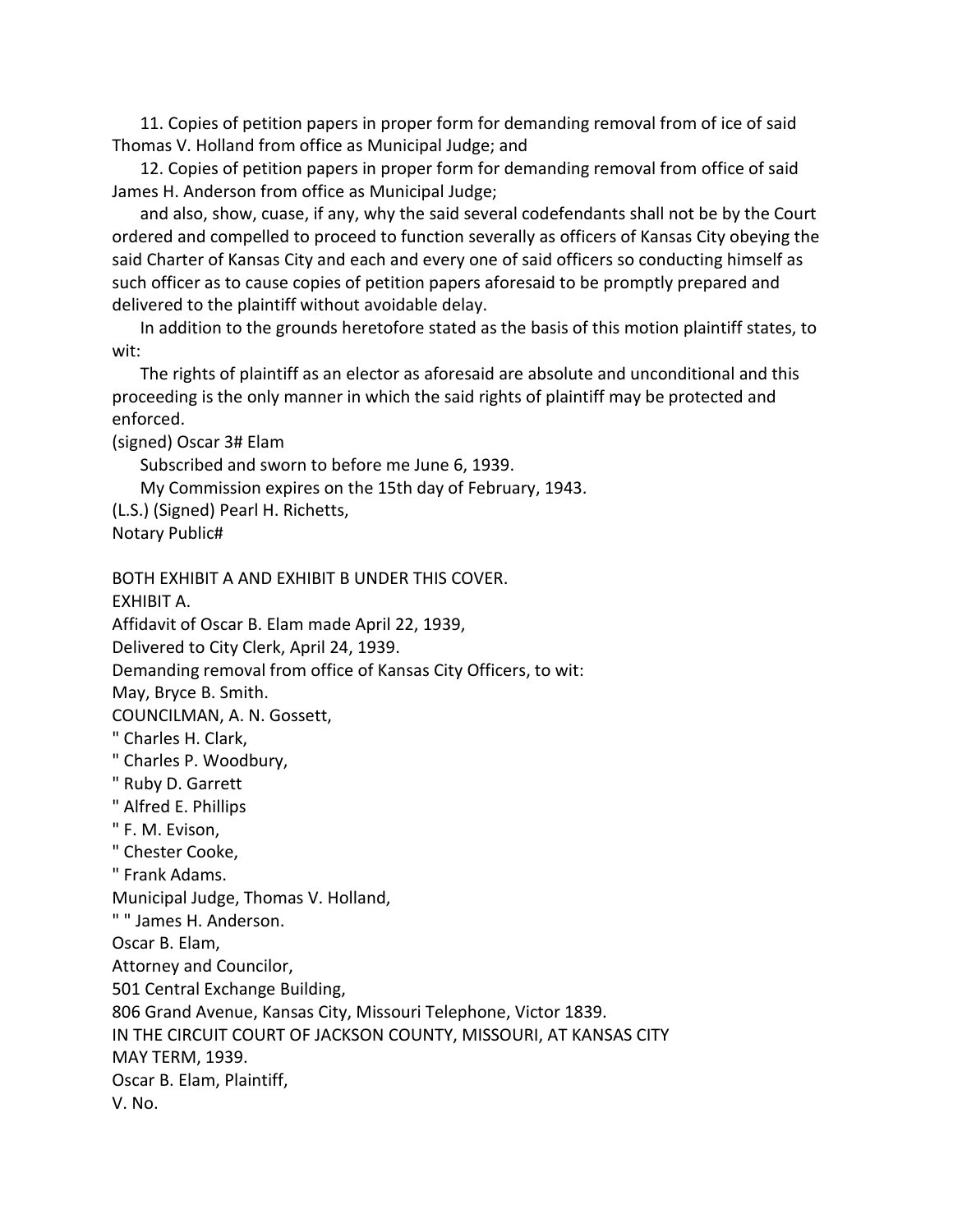11. Copies of petition papers in proper form for demanding removal from of ice of said Thomas V. Holland from office as Municipal Judge; and

12. Copies of petition papers in proper form for demanding removal from office of said James H. Anderson from office as Municipal Judge;

and also, show, cuase, if any, why the said several codefendants shall not be by the Court ordered and compelled to proceed to function severally as officers of Kansas City obeying the said Charter of Kansas City and each and every one of said officers so conducting himself as such officer as to cause copies of petition papers aforesaid to be promptly prepared and delivered to the plaintiff without avoidable delay.

In addition to the grounds heretofore stated as the basis of this motion plaintiff states, to wit:

The rights of plaintiff as an elector as aforesaid are absolute and unconditional and this proceeding is the only manner in which the said rights of plaintiff may be protected and enforced.

(signed) Oscar 3# Elam

Subscribed and sworn to before me June 6, 1939.

My Commission expires on the 15th day of February, 1943.

(L.S.) (Signed) Pearl H. Richetts, Notary Public#

BOTH EXHIBIT A AND EXHIBIT B UNDER THIS COVER.

EXHIBIT A.

Affidavit of Oscar B. Elam made April 22, 1939,

Delivered to City Clerk, April 24, 1939.

Demanding removal from office of Kansas City Officers, to wit:

May, Bryce B. Smith.

COUNCILMAN, A. N. Gossett,

" Charles H. Clark,

" Charles P. Woodbury,

- " Ruby D. Garrett
- " Alfred E. Phillips
- " F. M. Evison,
- " Chester Cooke,

" Frank Adams.

Municipal Judge, Thomas V. Holland,

" " James H. Anderson.

Oscar B. Elam,

Attorney and Councilor,

501 Central Exchange Building,

806 Grand Avenue, Kansas City, Missouri Telephone, Victor 1839.

IN THE CIRCUIT COURT OF JACKSON COUNTY, MISSOURI, AT KANSAS CITY

MAY TERM, 1939.

Oscar B. Elam, Plaintiff,

V. No.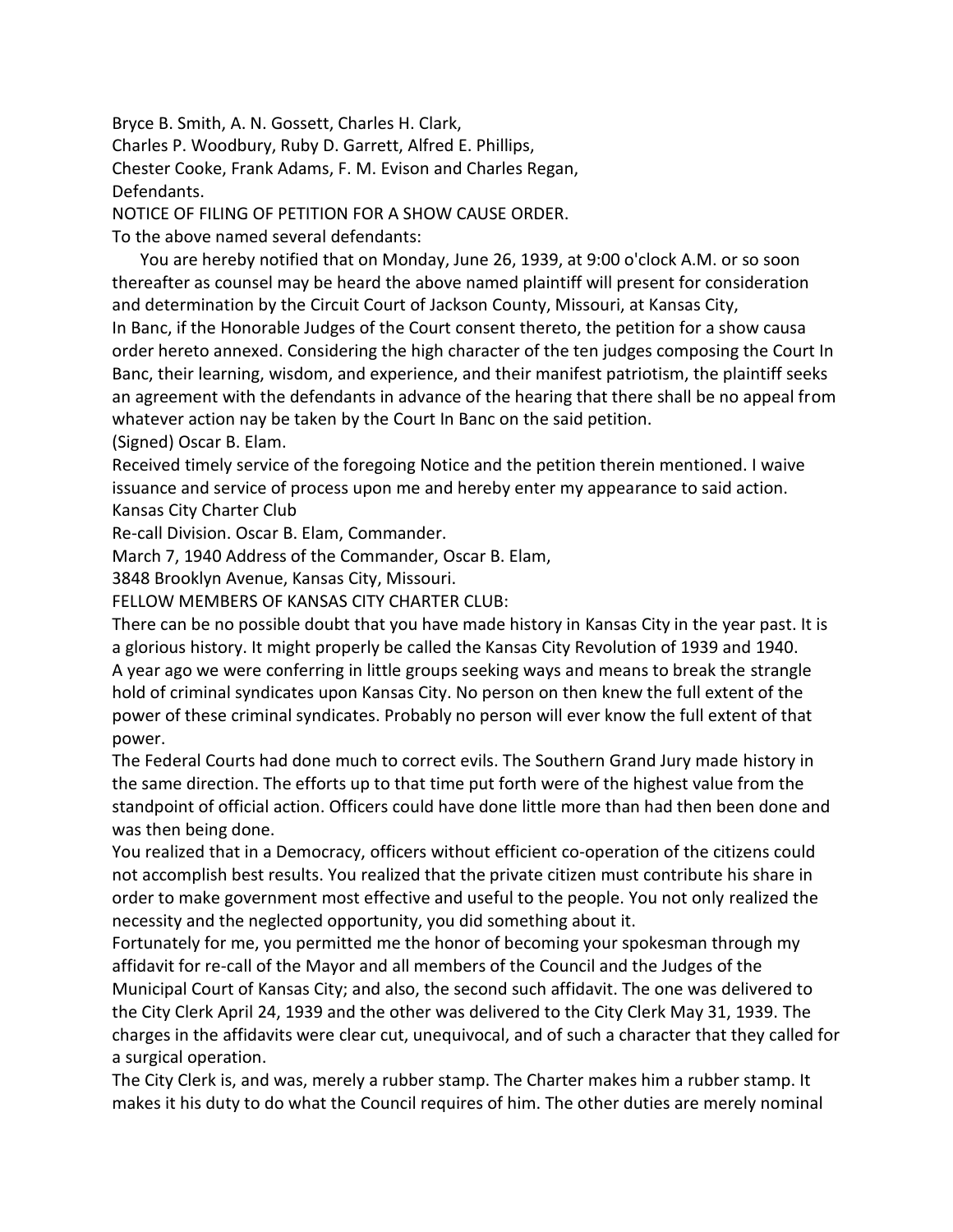Bryce B. Smith, A. N. Gossett, Charles H. Clark, Charles P. Woodbury, Ruby D. Garrett, Alfred E. Phillips, Chester Cooke, Frank Adams, F. M. Evison and Charles Regan, Defendants.

NOTICE OF FILING OF PETITION FOR A SHOW CAUSE ORDER.

To the above named several defendants:

You are hereby notified that on Monday, June 26, 1939, at 9:00 o'clock A.M. or so soon thereafter as counsel may be heard the above named plaintiff will present for consideration and determination by the Circuit Court of Jackson County, Missouri, at Kansas City, In Banc, if the Honorable Judges of the Court consent thereto, the petition for a show causa order hereto annexed. Considering the high character of the ten judges composing the Court In Banc, their learning, wisdom, and experience, and their manifest patriotism, the plaintiff seeks an agreement with the defendants in advance of the hearing that there shall be no appeal from whatever action nay be taken by the Court In Banc on the said petition. (Signed) Oscar B. Elam.

Received timely service of the foregoing Notice and the petition therein mentioned. I waive issuance and service of process upon me and hereby enter my appearance to said action. Kansas City Charter Club

Re-call Division. Oscar B. Elam, Commander.

March 7, 1940 Address of the Commander, Oscar B. Elam,

3848 Brooklyn Avenue, Kansas City, Missouri.

FELLOW MEMBERS OF KANSAS CITY CHARTER CLUB:

There can be no possible doubt that you have made history in Kansas City in the year past. It is a glorious history. It might properly be called the Kansas City Revolution of 1939 and 1940. A year ago we were conferring in little groups seeking ways and means to break the strangle hold of criminal syndicates upon Kansas City. No person on then knew the full extent of the power of these criminal syndicates. Probably no person will ever know the full extent of that power.

The Federal Courts had done much to correct evils. The Southern Grand Jury made history in the same direction. The efforts up to that time put forth were of the highest value from the standpoint of official action. Officers could have done little more than had then been done and was then being done.

You realized that in a Democracy, officers without efficient co-operation of the citizens could not accomplish best results. You realized that the private citizen must contribute his share in order to make government most effective and useful to the people. You not only realized the necessity and the neglected opportunity, you did something about it.

Fortunately for me, you permitted me the honor of becoming your spokesman through my affidavit for re-call of the Mayor and all members of the Council and the Judges of the Municipal Court of Kansas City; and also, the second such affidavit. The one was delivered to the City Clerk April 24, 1939 and the other was delivered to the City Clerk May 31, 1939. The charges in the affidavits were clear cut, unequivocal, and of such a character that they called for a surgical operation.

The City Clerk is, and was, merely a rubber stamp. The Charter makes him a rubber stamp. It makes it his duty to do what the Council requires of him. The other duties are merely nominal